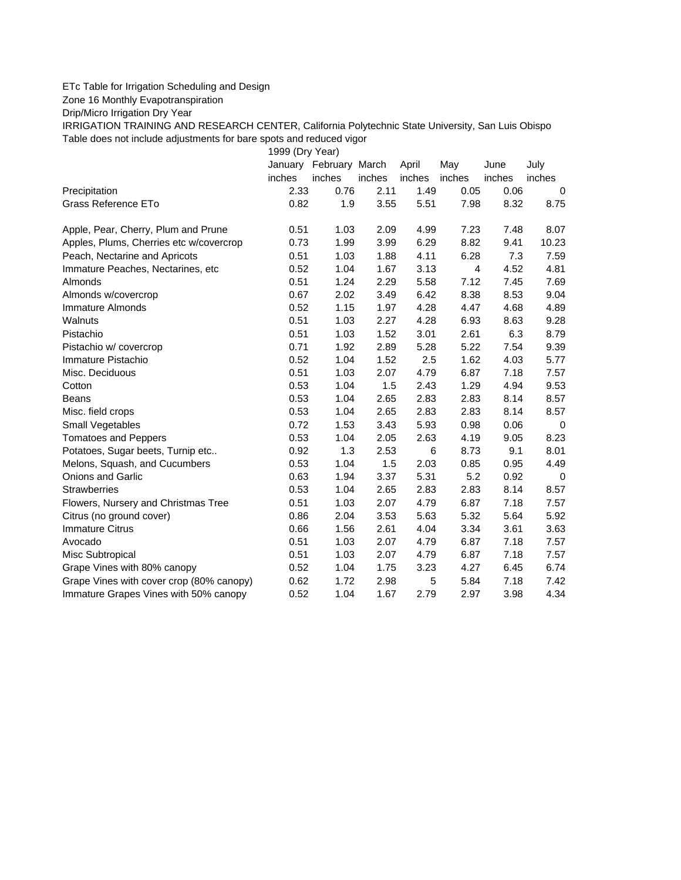## ETc Table for Irrigation Scheduling and Design

Zone 16 Monthly Evapotranspiration

Drip/Micro Irrigation Dry Year

IRRIGATION TRAINING AND RESEARCH CENTER, California Polytechnic State University, San Luis Obispo Table does not include adjustments for bare spots and reduced vigor

1999 (Dry Year)

|                                          | January | February March |        | April  | May    | June   | July        |
|------------------------------------------|---------|----------------|--------|--------|--------|--------|-------------|
|                                          | inches  | inches         | inches | inches | inches | inches | inches      |
| Precipitation                            | 2.33    | 0.76           | 2.11   | 1.49   | 0.05   | 0.06   | $\Omega$    |
| <b>Grass Reference ETo</b>               | 0.82    | 1.9            | 3.55   | 5.51   | 7.98   | 8.32   | 8.75        |
| Apple, Pear, Cherry, Plum and Prune      | 0.51    | 1.03           | 2.09   | 4.99   | 7.23   | 7.48   | 8.07        |
| Apples, Plums, Cherries etc w/covercrop  | 0.73    | 1.99           | 3.99   | 6.29   | 8.82   | 9.41   | 10.23       |
| Peach, Nectarine and Apricots            | 0.51    | 1.03           | 1.88   | 4.11   | 6.28   | 7.3    | 7.59        |
| Immature Peaches, Nectarines, etc        | 0.52    | 1.04           | 1.67   | 3.13   | 4      | 4.52   | 4.81        |
| Almonds                                  | 0.51    | 1.24           | 2.29   | 5.58   | 7.12   | 7.45   | 7.69        |
| Almonds w/covercrop                      | 0.67    | 2.02           | 3.49   | 6.42   | 8.38   | 8.53   | 9.04        |
| <b>Immature Almonds</b>                  | 0.52    | 1.15           | 1.97   | 4.28   | 4.47   | 4.68   | 4.89        |
| Walnuts                                  | 0.51    | 1.03           | 2.27   | 4.28   | 6.93   | 8.63   | 9.28        |
| Pistachio                                | 0.51    | 1.03           | 1.52   | 3.01   | 2.61   | 6.3    | 8.79        |
| Pistachio w/ covercrop                   | 0.71    | 1.92           | 2.89   | 5.28   | 5.22   | 7.54   | 9.39        |
| Immature Pistachio                       | 0.52    | 1.04           | 1.52   | 2.5    | 1.62   | 4.03   | 5.77        |
| Misc. Deciduous                          | 0.51    | 1.03           | 2.07   | 4.79   | 6.87   | 7.18   | 7.57        |
| Cotton                                   | 0.53    | 1.04           | 1.5    | 2.43   | 1.29   | 4.94   | 9.53        |
| Beans                                    | 0.53    | 1.04           | 2.65   | 2.83   | 2.83   | 8.14   | 8.57        |
| Misc. field crops                        | 0.53    | 1.04           | 2.65   | 2.83   | 2.83   | 8.14   | 8.57        |
| <b>Small Vegetables</b>                  | 0.72    | 1.53           | 3.43   | 5.93   | 0.98   | 0.06   | 0           |
| <b>Tomatoes and Peppers</b>              | 0.53    | 1.04           | 2.05   | 2.63   | 4.19   | 9.05   | 8.23        |
| Potatoes, Sugar beets, Turnip etc        | 0.92    | 1.3            | 2.53   | 6      | 8.73   | 9.1    | 8.01        |
| Melons, Squash, and Cucumbers            | 0.53    | 1.04           | 1.5    | 2.03   | 0.85   | 0.95   | 4.49        |
| <b>Onions and Garlic</b>                 | 0.63    | 1.94           | 3.37   | 5.31   | 5.2    | 0.92   | $\mathbf 0$ |
| <b>Strawberries</b>                      | 0.53    | 1.04           | 2.65   | 2.83   | 2.83   | 8.14   | 8.57        |
| Flowers, Nursery and Christmas Tree      | 0.51    | 1.03           | 2.07   | 4.79   | 6.87   | 7.18   | 7.57        |
| Citrus (no ground cover)                 | 0.86    | 2.04           | 3.53   | 5.63   | 5.32   | 5.64   | 5.92        |
| <b>Immature Citrus</b>                   | 0.66    | 1.56           | 2.61   | 4.04   | 3.34   | 3.61   | 3.63        |
| Avocado                                  | 0.51    | 1.03           | 2.07   | 4.79   | 6.87   | 7.18   | 7.57        |
| Misc Subtropical                         | 0.51    | 1.03           | 2.07   | 4.79   | 6.87   | 7.18   | 7.57        |
| Grape Vines with 80% canopy              | 0.52    | 1.04           | 1.75   | 3.23   | 4.27   | 6.45   | 6.74        |
| Grape Vines with cover crop (80% canopy) | 0.62    | 1.72           | 2.98   | 5      | 5.84   | 7.18   | 7.42        |
| Immature Grapes Vines with 50% canopy    | 0.52    | 1.04           | 1.67   | 2.79   | 2.97   | 3.98   | 4.34        |